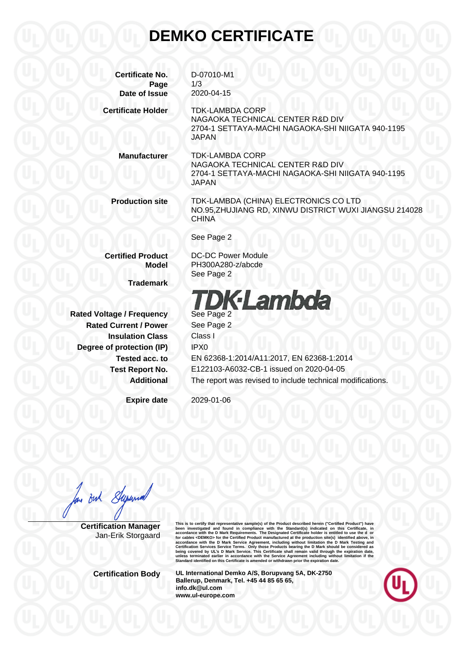## **DEMKO CERTIFICATE**

**Certificate No.** D-07010-M1 **Page** 1/3 **Date of Issue** 2020-04-15 **Certificate Holder** TDK-LAMBDA CORP NAGAOKA TECHNICAL CENTER R&D DIV 2704-1 SETTAYA-MACHI NAGAOKA-SHI NIIGATA 940-1195 JAPAN **Manufacturer** TDK-LAMBDA CORP NAGAOKA TECHNICAL CENTER R&D DIV 2704-1 SETTAYA-MACHI NAGAOKA-SHI NIIGATA 940-1195 JAPAN **Production site** TDK-LAMBDA (CHINA) ELECTRONICS CO LTD NO.95,ZHUJIANG RD, XINWU DISTRICT WUXI JIANGSU 214028 CHINA See Page 2 **Certified Product** DC-DC Power Module **Model** PH300A280-z/abcde See Page 2 **Trademark**

**Rated Voltage / Frequency** See Page 2 **Rated Current / Power** See Page 2 **Insulation Class** Class I **Degree of protection (IP)** IPX0

**DK-Lambda** 

**Tested acc. to** EN 62368-1:2014/A11:2017, EN 62368-1:2014 **Test Report No.** E122103-A6032-CB-1 issued on 2020-04-05 **Additional** The report was revised to include technical modifications.

**Expire date** 2029-01-06

Superint Buh

**Certification Manager** Jan-Erik Storgaard This is to certify that representative sample(s) of the Product described herein ("Certifical Product") have<br>been investigated and found in compliance with the Standard(s) indicated on this Certificate, in<br>accordance with

**Certification Body UL International Demko A/S, Borupvang 5A, DK-2750 Ballerup, Denmark, Tel. +45 44 85 65 65, info.dk@ul.com www.ul-europe.com**

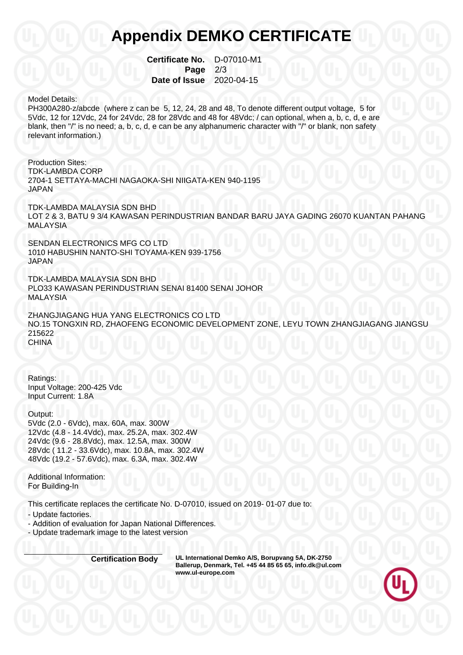## **Appendix DEMKO CERTIFICATE**

**Certificate No.** D-07010-M1 **Page 2/3 Date of Issue** 2020-04-15

## Model Details:

PH300A280-z/abcde (where z can be 5, 12, 24, 28 and 48, To denote different output voltage, 5 for 5Vdc, 12 for 12Vdc, 24 for 24Vdc, 28 for 28Vdc and 48 for 48Vdc; / can optional, when a, b, c, d, e are blank, then "/" is no need; a, b, c, d, e can be any alphanumeric character with "/" or blank, non safety relevant information.)

Production Sites: TDK-LAMBDA CORP 2704-1 SETTAYA-MACHI NAGAOKA-SHI NIIGATA-KEN 940-1195 JAPAN

TDK-LAMBDA MALAYSIA SDN BHD LOT 2 & 3, BATU 9 3/4 KAWASAN PERINDUSTRIAN BANDAR BARU JAYA GADING 26070 KUANTAN PAHANG MALAYSIA

SENDAN ELECTRONICS MFG CO LTD 1010 HABUSHIN NANTO-SHI TOYAMA-KEN 939-1756 JAPAN

TDK-LAMBDA MALAYSIA SDN BHD PLO33 KAWASAN PERINDUSTRIAN SENAI 81400 SENAI JOHOR MALAYSIA

ZHANGJIAGANG HUA YANG ELECTRONICS CO LTD NO.15 TONGXIN RD, ZHAOFENG ECONOMIC DEVELOPMENT ZONE, LEYU TOWN ZHANGJIAGANG JIANGSU 215622 **CHINA** 

Ratings: Input Voltage: 200-425 Vdc Input Current: 1.8A

Output: 5Vdc (2.0 - 6Vdc), max. 60A, max. 300W 12Vdc (4.8 - 14.4Vdc), max. 25.2A, max. 302.4W 24Vdc (9.6 - 28.8Vdc), max. 12.5A, max. 300W 28Vdc ( 11.2 - 33.6Vdc), max. 10.8A, max. 302.4W 48Vdc (19.2 - 57.6Vdc), max. 6.3A, max. 302.4W

Additional Information: For Building-In

This certificate replaces the certificate No. D-07010, issued on 2019- 01-07 due to:

- Update factories.

- Addition of evaluation for Japan National Differences.

- Update trademark image to the latest version

**Certification Body UL International Demko A/S, Borupvang 5A, DK-2750 Ballerup, Denmark, Tel. +45 44 85 65 65, info.dk@ul.com www.ul-europe.com**